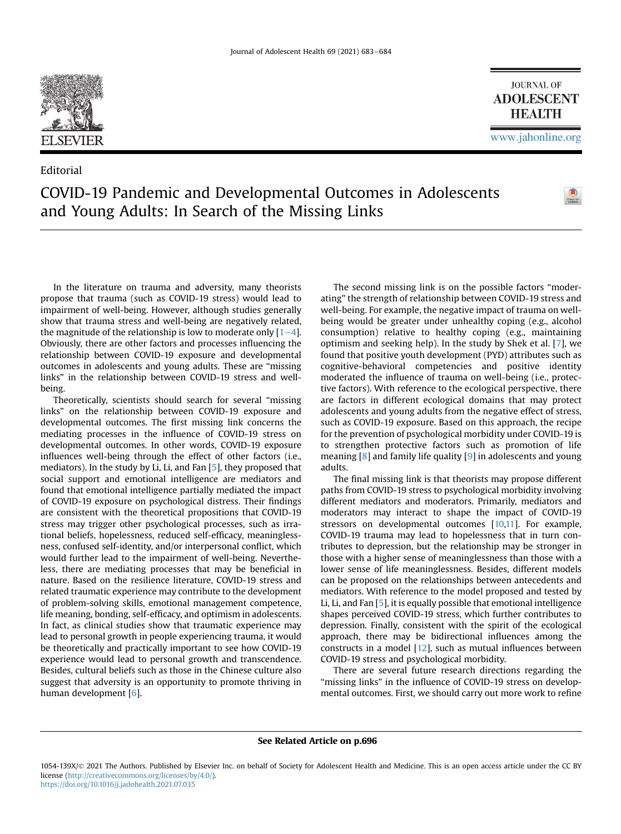

Editorial

**JOURNAL OF ADOLESCENT HEALTH** 

## COVID-19 Pandemic and Developmental Outcomes in Adolescents and Young Adults: In Search of the Missing Links



In the literature on trauma and adversity, many theorists propose that trauma (such as COVID-19 stress) would lead to impairment of well-being. However, although studies generally show that trauma stress and well-being are negatively related, the magnitude of the relationship is low to moderate only  $[1-4]$  $[1-4]$  $[1-4]$ . Obviously, there are other factors and processes influencing the relationship between COVID-19 exposure and developmental outcomes in adolescents and young adults. These are "missing links" in the relationship between COVID-19 stress and wellbeing.

Theoretically, scientists should search for several "missing links" on the relationship between COVID-19 exposure and developmental outcomes. The first missing link concerns the mediating processes in the influence of COVID-19 stress on developmental outcomes. In other words, COVID-19 exposure influences well-being through the effect of other factors (i.e., mediators). In the study by Li, Li, and Fan [[5](#page-1-1)], they proposed that social support and emotional intelligence are mediators and found that emotional intelligence partially mediated the impact of COVID-19 exposure on psychological distress. Their findings are consistent with the theoretical propositions that COVID-19 stress may trigger other psychological processes, such as irrational beliefs, hopelessness, reduced self-efficacy, meaninglessness, confused self-identity, and/or interpersonal conflict, which would further lead to the impairment of well-being. Nevertheless, there are mediating processes that may be beneficial in nature. Based on the resilience literature, COVID-19 stress and related traumatic experience may contribute to the development of problem-solving skills, emotional management competence, life meaning, bonding, self-efficacy, and optimism in adolescents. In fact, as clinical studies show that traumatic experience may lead to personal growth in people experiencing trauma, it would be theoretically and practically important to see how COVID-19 experience would lead to personal growth and transcendence. Besides, cultural beliefs such as those in the Chinese culture also suggest that adversity is an opportunity to promote thriving in human development [\[6\]](#page-1-2).

The second missing link is on the possible factors "moderating" the strength of relationship between COVID-19 stress and well-being. For example, the negative impact of trauma on wellbeing would be greater under unhealthy coping (e.g., alcohol consumption) relative to healthy coping (e.g., maintaining optimism and seeking help). In the study by Shek et al. [\[7\]](#page-1-3), we found that positive youth development (PYD) attributes such as cognitive-behavioral competencies and positive identity moderated the influence of trauma on well-being (i.e., protective factors). With reference to the ecological perspective, there are factors in different ecological domains that may protect adolescents and young adults from the negative effect of stress, such as COVID-19 exposure. Based on this approach, the recipe for the prevention of psychological morbidity under COVID-19 is to strengthen protective factors such as promotion of life meaning [\[8\]](#page-1-4) and family life quality [[9\]](#page-1-5) in adolescents and young adults.

The final missing link is that theorists may propose different paths from COVID-19 stress to psychological morbidity involving different mediators and moderators. Primarily, mediators and moderators may interact to shape the impact of COVID-19 stressors on developmental outcomes [[10,](#page-1-6)[11\]](#page-1-7). For example, COVID-19 trauma may lead to hopelessness that in turn contributes to depression, but the relationship may be stronger in those with a higher sense of meaninglessness than those with a lower sense of life meaninglessness. Besides, different models can be proposed on the relationships between antecedents and mediators. With reference to the model proposed and tested by Li, Li, and Fan [\[5](#page-1-1)], it is equally possible that emotional intelligence shapes perceived COVID-19 stress, which further contributes to depression. Finally, consistent with the spirit of the ecological approach, there may be bidirectional influences among the constructs in a model  $[12]$  $[12]$ , such as mutual influences between COVID-19 stress and psychological morbidity.

There are several future research directions regarding the "missing links" in the influence of COVID-19 stress on developmental outcomes. First, we should carry out more work to refine

## See Related Article on p.696

<sup>1054-139</sup>X/© 2021 The Authors. Published by Elsevier Inc. on behalf of Society for Adolescent Health and Medicine. This is an open access article under the CC BY license [\(http://creativecommons.org/licenses/by/4.0/\)](http://creativecommons.org/licenses/by/4.0/). <https://doi.org/10.1016/j.jadohealth.2021.07.035>